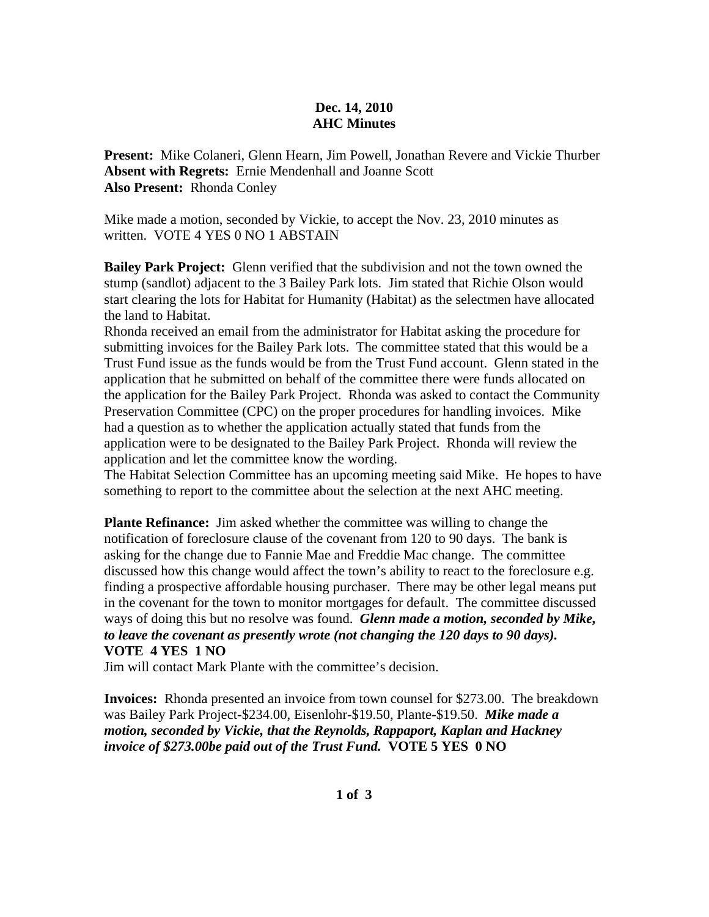## **Dec. 14, 2010 AHC Minutes**

**Present:** Mike Colaneri, Glenn Hearn, Jim Powell, Jonathan Revere and Vickie Thurber **Absent with Regrets:** Ernie Mendenhall and Joanne Scott **Also Present:** Rhonda Conley

Mike made a motion, seconded by Vickie, to accept the Nov. 23, 2010 minutes as written. VOTE 4 YES 0 NO 1 ABSTAIN

**Bailey Park Project:** Glenn verified that the subdivision and not the town owned the stump (sandlot) adjacent to the 3 Bailey Park lots. Jim stated that Richie Olson would start clearing the lots for Habitat for Humanity (Habitat) as the selectmen have allocated the land to Habitat.

Rhonda received an email from the administrator for Habitat asking the procedure for submitting invoices for the Bailey Park lots. The committee stated that this would be a Trust Fund issue as the funds would be from the Trust Fund account. Glenn stated in the application that he submitted on behalf of the committee there were funds allocated on the application for the Bailey Park Project. Rhonda was asked to contact the Community Preservation Committee (CPC) on the proper procedures for handling invoices. Mike had a question as to whether the application actually stated that funds from the application were to be designated to the Bailey Park Project. Rhonda will review the application and let the committee know the wording.

The Habitat Selection Committee has an upcoming meeting said Mike. He hopes to have something to report to the committee about the selection at the next AHC meeting.

**Plante Refinance:** Jim asked whether the committee was willing to change the notification of foreclosure clause of the covenant from 120 to 90 days. The bank is asking for the change due to Fannie Mae and Freddie Mac change. The committee discussed how this change would affect the town's ability to react to the foreclosure e.g. finding a prospective affordable housing purchaser. There may be other legal means put in the covenant for the town to monitor mortgages for default. The committee discussed ways of doing this but no resolve was found. *Glenn made a motion, seconded by Mike, to leave the covenant as presently wrote (not changing the 120 days to 90 days).*  **VOTE 4 YES 1 NO** 

Jim will contact Mark Plante with the committee's decision.

**Invoices:** Rhonda presented an invoice from town counsel for \$273.00. The breakdown was Bailey Park Project-\$234.00, Eisenlohr-\$19.50, Plante-\$19.50. *Mike made a motion, seconded by Vickie, that the Reynolds, Rappaport, Kaplan and Hackney invoice of \$273.00be paid out of the Trust Fund.* **VOTE 5 YES 0 NO**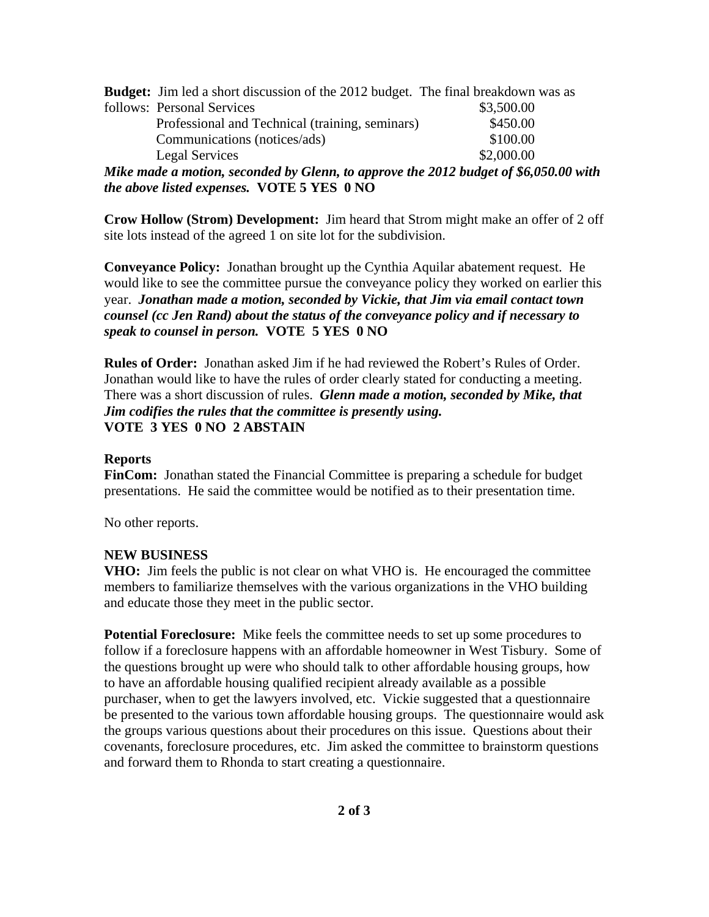|                                                                                      | <b>Budget:</b> Jim led a short discussion of the 2012 budget. The final breakdown was as |            |
|--------------------------------------------------------------------------------------|------------------------------------------------------------------------------------------|------------|
|                                                                                      | follows: Personal Services                                                               | \$3,500.00 |
|                                                                                      | Professional and Technical (training, seminars)                                          | \$450.00   |
|                                                                                      | Communications (notices/ads)                                                             | \$100.00   |
|                                                                                      | Legal Services                                                                           | \$2,000.00 |
| Mike made a motion, seconded by Glenn, to approve the 2012 budget of \$6,050.00 with |                                                                                          |            |

*the above listed expenses.* **VOTE 5 YES 0 NO** 

**Crow Hollow (Strom) Development:** Jim heard that Strom might make an offer of 2 off site lots instead of the agreed 1 on site lot for the subdivision.

**Conveyance Policy:** Jonathan brought up the Cynthia Aquilar abatement request. He would like to see the committee pursue the conveyance policy they worked on earlier this year. *Jonathan made a motion, seconded by Vickie, that Jim via email contact town counsel (cc Jen Rand) about the status of the conveyance policy and if necessary to speak to counsel in person.* **VOTE 5 YES 0 NO** 

**Rules of Order:** Jonathan asked Jim if he had reviewed the Robert's Rules of Order. Jonathan would like to have the rules of order clearly stated for conducting a meeting. There was a short discussion of rules. *Glenn made a motion, seconded by Mike, that Jim codifies the rules that the committee is presently using.*  **VOTE 3 YES 0 NO 2 ABSTAIN**

## **Reports**

**FinCom:** Jonathan stated the Financial Committee is preparing a schedule for budget presentations. He said the committee would be notified as to their presentation time.

No other reports.

## **NEW BUSINESS**

**VHO:** Jim feels the public is not clear on what VHO is. He encouraged the committee members to familiarize themselves with the various organizations in the VHO building and educate those they meet in the public sector.

**Potential Foreclosure:** Mike feels the committee needs to set up some procedures to follow if a foreclosure happens with an affordable homeowner in West Tisbury. Some of the questions brought up were who should talk to other affordable housing groups, how to have an affordable housing qualified recipient already available as a possible purchaser, when to get the lawyers involved, etc. Vickie suggested that a questionnaire be presented to the various town affordable housing groups. The questionnaire would ask the groups various questions about their procedures on this issue. Questions about their covenants, foreclosure procedures, etc. Jim asked the committee to brainstorm questions and forward them to Rhonda to start creating a questionnaire.